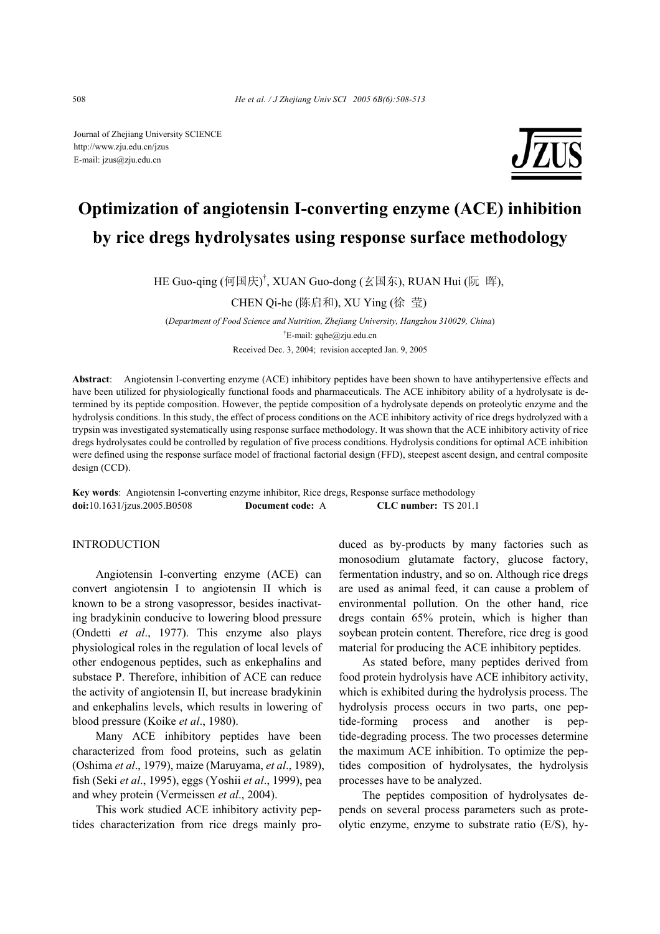Journal of Zhejiang University SCIENCE http://www.zju.edu.cn/jzus E-mail: jzus@zju.edu.cn



# **Optimization of angiotensin I-converting enzyme (ACE) inhibition by rice dregs hydrolysates using response surface methodology**

HE Guo-qing (何国庆) † , XUAN Guo-dong (玄国东), RUAN Hui (阮 晖),

CHEN Qi-he (陈启和), XU Ying (徐 莹)

(*Department of Food Science and Nutrition, Zhejiang University, Hangzhou 310029, China*) † E-mail: gqhe@zju.edu.cn Received Dec. 3, 2004; revision accepted Jan. 9, 2005

**Abstract**: Angiotensin I-converting enzyme (ACE) inhibitory peptides have been shown to have antihypertensive effects and have been utilized for physiologically functional foods and pharmaceuticals. The ACE inhibitory ability of a hydrolysate is determined by its peptide composition. However, the peptide composition of a hydrolysate depends on proteolytic enzyme and the hydrolysis conditions. In this study, the effect of process conditions on the ACE inhibitory activity of rice dregs hydrolyzed with a trypsin was investigated systematically using response surface methodology. It was shown that the ACE inhibitory activity of rice dregs hydrolysates could be controlled by regulation of five process conditions. Hydrolysis conditions for optimal ACE inhibition were defined using the response surface model of fractional factorial design (FFD), steepest ascent design, and central composite design (CCD).

**Key words**: Angiotensin I-converting enzyme inhibitor, Rice dregs, Response surface methodology **doi:**10.1631/jzus.2005.B0508 **Document code:** A **CLC number:** TS 201.1

## **INTRODUCTION**

Angiotensin I-converting enzyme (ACE) can convert angiotensin I to angiotensin II which is known to be a strong vasopressor, besides inactivating bradykinin conducive to lowering blood pressure (Ondetti *et al*., 1977). This enzyme also plays physiological roles in the regulation of local levels of other endogenous peptides, such as enkephalins and substace P. Therefore, inhibition of ACE can reduce the activity of angiotensin II, but increase bradykinin and enkephalins levels, which results in lowering of blood pressure (Koike *et al*., 1980).

Many ACE inhibitory peptides have been characterized from food proteins, such as gelatin (Oshima *et al*., 1979), maize (Maruyama, *et al*., 1989), fish (Seki *et al*., 1995), eggs (Yoshii *et al*., 1999), pea and whey protein (Vermeissen *et al*., 2004).

This work studied ACE inhibitory activity peptides characterization from rice dregs mainly produced as by-products by many factories such as monosodium glutamate factory, glucose factory, fermentation industry, and so on. Although rice dregs are used as animal feed, it can cause a problem of environmental pollution. On the other hand, rice dregs contain 65% protein, which is higher than soybean protein content. Therefore, rice dreg is good material for producing the ACE inhibitory peptides.

As stated before, many peptides derived from food protein hydrolysis have ACE inhibitory activity, which is exhibited during the hydrolysis process. The hydrolysis process occurs in two parts, one peptide-forming process and another is peptide-degrading process. The two processes determine the maximum ACE inhibition. To optimize the peptides composition of hydrolysates, the hydrolysis processes have to be analyzed.

The peptides composition of hydrolysates depends on several process parameters such as proteolytic enzyme, enzyme to substrate ratio (E/S), hy-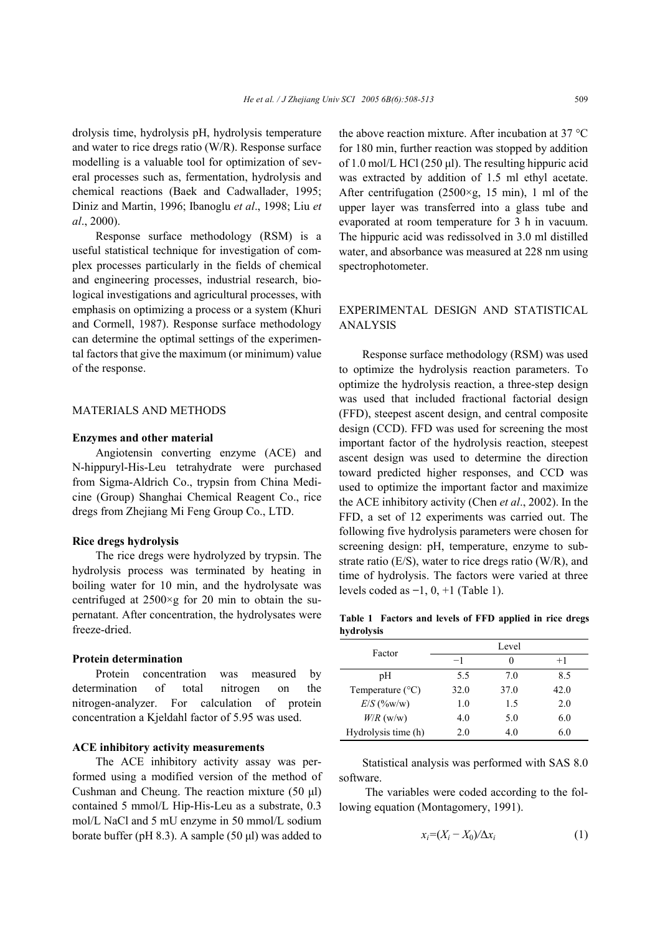drolysis time, hydrolysis pH, hydrolysis temperature and water to rice dregs ratio (W/R). Response surface modelling is a valuable tool for optimization of several processes such as, fermentation, hydrolysis and chemical reactions (Baek and Cadwallader, 1995; Diniz and Martin, 1996; Ibanoglu *et al*., 1998; Liu *et al*., 2000).

Response surface methodology (RSM) is a useful statistical technique for investigation of complex processes particularly in the fields of chemical and engineering processes, industrial research, biological investigations and agricultural processes, with emphasis on optimizing a process or a system (Khuri and Cormell, 1987). Response surface methodology can determine the optimal settings of the experimental factors that give the maximum (or minimum) value of the response.

### MATERIALS AND METHODS

#### **Enzymes and other material**

Angiotensin converting enzyme (ACE) and N-hippuryl-His-Leu tetrahydrate were purchased from Sigma-Aldrich Co., trypsin from China Medicine (Group) Shanghai Chemical Reagent Co., rice dregs from Zhejiang Mi Feng Group Co., LTD.

#### **Rice dregs hydrolysis**

The rice dregs were hydrolyzed by trypsin. The hydrolysis process was terminated by heating in boiling water for 10 min, and the hydrolysate was centrifuged at  $2500 \times g$  for 20 min to obtain the supernatant. After concentration, the hydrolysates were freeze-dried.

#### **Protein determination**

Protein concentration was measured by determination of total nitrogen on the nitrogen-analyzer. For calculation of protein concentration a Kjeldahl factor of 5.95 was used.

## **ACE inhibitory activity measurements**

The ACE inhibitory activity assay was performed using a modified version of the method of Cushman and Cheung. The reaction mixture (50 µl) contained 5 mmol/L Hip-His-Leu as a substrate, 0.3 mol/L NaCl and 5 mU enzyme in 50 mmol/L sodium borate buffer (pH 8.3). A sample  $(50 \text{ µl})$  was added to the above reaction mixture. After incubation at 37 °C for 180 min, further reaction was stopped by addition of 1.0 mol/L HCl (250  $\mu$ l). The resulting hippuric acid was extracted by addition of 1.5 ml ethyl acetate. After centrifugation (2500×g, 15 min), 1 ml of the upper layer was transferred into a glass tube and evaporated at room temperature for 3 h in vacuum. The hippuric acid was redissolved in 3.0 ml distilled water, and absorbance was measured at 228 nm using spectrophotometer.

## EXPERIMENTAL DESIGN AND STATISTICAL ANALYSIS

Response surface methodology (RSM) was used to optimize the hydrolysis reaction parameters. To optimize the hydrolysis reaction, a three-step design was used that included fractional factorial design (FFD), steepest ascent design, and central composite design (CCD). FFD was used for screening the most important factor of the hydrolysis reaction, steepest ascent design was used to determine the direction toward predicted higher responses, and CCD was used to optimize the important factor and maximize the ACE inhibitory activity (Chen *et al*., 2002). In the FFD, a set of 12 experiments was carried out. The following five hydrolysis parameters were chosen for screening design: pH, temperature, enzyme to substrate ratio (E/S), water to rice dregs ratio (W/R), and time of hydrolysis. The factors were varied at three levels coded as **−**1, 0, +1 (Table 1).

**Table 1 Factors and levels of FFD applied in rice dregs hydrolysis** 

| Factor                    |      | Level |      |
|---------------------------|------|-------|------|
|                           | $-1$ |       | $+1$ |
| pН                        | 5.5  | 70    | 85   |
| Temperature $(^{\circ}C)$ | 32.0 | 37.0  | 42.0 |
| $E/S$ (%w/w)              | 1.0  | 1.5   | 2.0  |
| $W/R$ (w/w)               | 4.0  | 5.0   | 6.0  |
| Hydrolysis time (h)       | 2.0  | 4.0   | 6.0  |

Statistical analysis was performed with SAS 8.0 software.

 The variables were coded according to the following equation (Montagomery, 1991).

$$
x_i = (X_i - X_0) / \Delta x_i \tag{1}
$$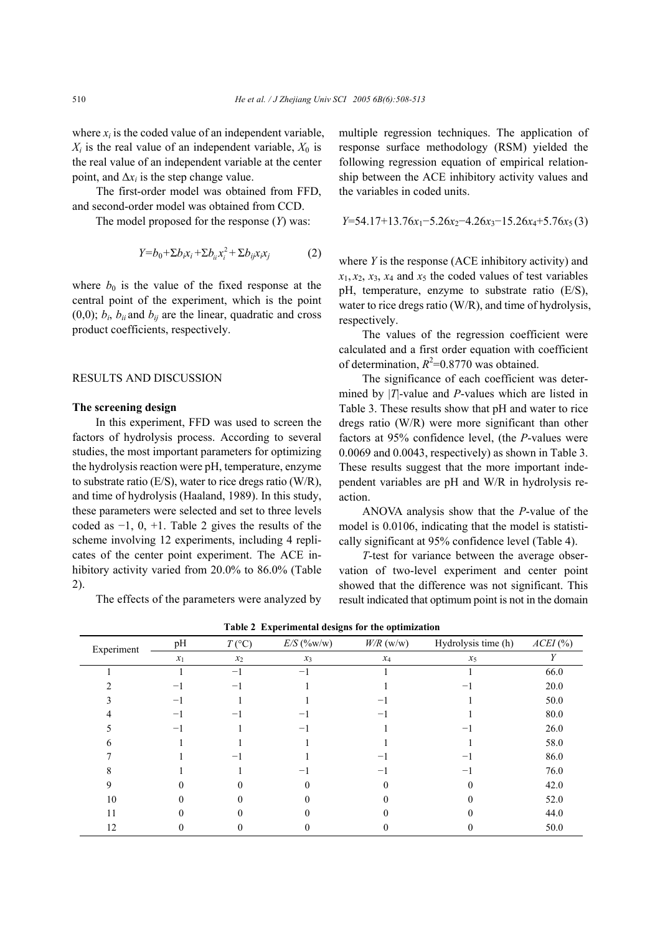where  $x_i$  is the coded value of an independent variable,  $X_i$  is the real value of an independent variable,  $X_0$  is the real value of an independent variable at the center point, and  $\Delta x_i$  is the step change value.

 The first-order model was obtained from FFD, and second-order model was obtained from CCD.

The model proposed for the response (*Y*) was:

$$
Y = b_0 + \sum b_i x_i + \sum b_{ii} x_i^2 + \sum b_{ij} x_i x_j \tag{2}
$$

where  $b_0$  is the value of the fixed response at the central point of the experiment, which is the point  $(0,0)$ ;  $b_i$ ,  $b_{ii}$  and  $b_{ij}$  are the linear, quadratic and cross product coefficients, respectively.

#### RESULTS AND DISCUSSION

### **The screening design**

In this experiment, FFD was used to screen the factors of hydrolysis process. According to several studies, the most important parameters for optimizing the hydrolysis reaction were pH, temperature, enzyme to substrate ratio (E/S), water to rice dregs ratio (W/R), and time of hydrolysis (Haaland, 1989). In this study, these parameters were selected and set to three levels coded as  $-1$ , 0,  $+1$ . Table 2 gives the results of the scheme involving 12 experiments, including 4 replicates of the center point experiment. The ACE inhibitory activity varied from 20.0% to 86.0% (Table 2).

The effects of the parameters were analyzed by

multiple regression techniques. The application of response surface methodology (RSM) yielded the following regression equation of empirical relationship between the ACE inhibitory activity values and the variables in coded units.

$$
Y=54.17+13.76x_1-5.26x_2-4.26x_3-15.26x_4+5.76x_5(3)
$$

where *Y* is the response (ACE inhibitory activity) and  $x_1, x_2, x_3, x_4$  and  $x_5$  the coded values of test variables pH, temperature, enzyme to substrate ratio (E/S), water to rice dregs ratio (W/R), and time of hydrolysis, respectively.

The values of the regression coefficient were calculated and a first order equation with coefficient of determination,  $R^2$ =0.8770 was obtained.

The significance of each coefficient was determined by |*T*|-value and *P*-values which are listed in Table 3. These results show that pH and water to rice dregs ratio (W/R) were more significant than other factors at 95% confidence level, (the *P*-values were 0.0069 and 0.0043, respectively) as shown in Table 3. These results suggest that the more important independent variables are pH and W/R in hydrolysis reaction.

ANOVA analysis show that the *P*-value of the model is 0.0106, indicating that the model is statistically significant at 95% confidence level (Table 4).

*T*-test for variance between the average observation of two-level experiment and center point showed that the difference was not significant. This result indicated that optimum point is not in the domain

| pH<br>Experiment |                          | $T({}^{\circ}C)$ | $E/S$ (%w/w) | $W/R$ (w/w)       | Hydrolysis time (h) | $ACEI$ (%) |
|------------------|--------------------------|------------------|--------------|-------------------|---------------------|------------|
| $x_1$            | $x_2$                    | $x_3$            | $x_4$        | $x_5$             |                     |            |
|                  |                          | $-1$             | $-1$         |                   |                     | 66.0       |
|                  | $\overline{\phantom{0}}$ | $-$              |              |                   |                     | 20.0       |
|                  | -1                       |                  |              |                   |                     | 50.0       |
|                  | -1                       | -                | $-1$         | $\qquad \qquad -$ |                     | 80.0       |
|                  | $-1$                     |                  | $-1$         |                   |                     | 26.0       |
| h                |                          |                  |              |                   |                     | 58.0       |
|                  |                          |                  |              |                   |                     | 86.0       |
|                  |                          |                  |              |                   |                     | 76.0       |
| 9                |                          |                  |              |                   |                     | 42.0       |
| 10               |                          |                  |              |                   |                     | 52.0       |
| 11               |                          |                  |              |                   |                     | 44.0       |
| 12               |                          |                  |              |                   |                     | 50.0       |

**Table 2 Experimental designs for the optimization**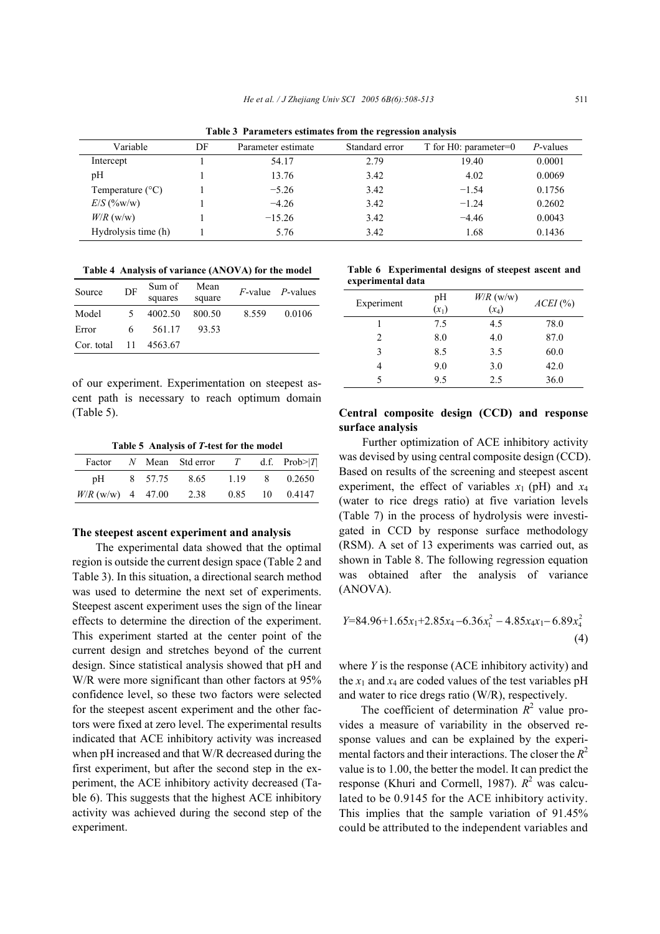**Table 3 Parameters estimates from the regression analysis** 

| Variable                  | DF | Parameter estimate | Standard error | T for $H0$ : parameter=0 | P-values |  |  |
|---------------------------|----|--------------------|----------------|--------------------------|----------|--|--|
| Intercept                 |    | 54.17              | 2.79           | 19.40                    | 0.0001   |  |  |
| pH                        |    | 13.76              | 3.42           | 4.02                     | 0.0069   |  |  |
| Temperature $(^{\circ}C)$ |    | $-5.26$            | 3.42           | $-1.54$                  | 0.1756   |  |  |
| $E/S$ (%w/w)              |    | $-4.26$            | 3.42           | $-1.24$                  | 0.2602   |  |  |
| $W/R$ (w/w)               |    | $-15.26$           | 3.42           | $-4.46$                  | 0.0043   |  |  |
| Hydrolysis time (h)       |    | 5.76               | 3.42           | 1.68                     | 0.1436   |  |  |

**Table 4 Analysis of variance (ANOVA) for the model** 

| Source     | DF | Sum of     | Mean   |       | $F$ -value $P$ -values |
|------------|----|------------|--------|-------|------------------------|
|            |    | squares    | square |       |                        |
| Model      | 5. | 4002.50    | 800.50 | 8.559 | 0.0106                 |
| Error      | 6. | 561.17     | 93.53  |       |                        |
| Cor. total |    | 11 4563.67 |        |       |                        |

of our experiment. Experimentation on steepest ascent path is necessary to reach optimum domain (Table 5).

**Table 5 Analysis of** *T***-test for the model** 

|                     |  | Factor N Mean Std error T d.f. $Prob >  T $ |      |                |
|---------------------|--|---------------------------------------------|------|----------------|
| pH                  |  | 8 57.75 8.65                                | 1.19 | 8 0.2650       |
| $W/R$ (w/w) 4 47.00 |  | 2.38                                        |      | 0.85 10 0.4147 |

#### **The steepest ascent experiment and analysis**

The experimental data showed that the optimal region is outside the current design space (Table 2 and Table 3). In this situation, a directional search method was used to determine the next set of experiments. Steepest ascent experiment uses the sign of the linear effects to determine the direction of the experiment. This experiment started at the center point of the current design and stretches beyond of the current design. Since statistical analysis showed that pH and W/R were more significant than other factors at 95% confidence level, so these two factors were selected for the steepest ascent experiment and the other factors were fixed at zero level. The experimental results indicated that ACE inhibitory activity was increased when pH increased and that W/R decreased during the first experiment, but after the second step in the experiment, the ACE inhibitory activity decreased (Table 6). This suggests that the highest ACE inhibitory activity was achieved during the second step of the experiment.

**Table 6 Experimental designs of steepest ascent and experimental data** 

| Experiment | pH<br>$(x_1)$ | $W/R$ (w/w)<br>$(x_4)$ | $ACEI$ (%) |
|------------|---------------|------------------------|------------|
|            | 7.5           | 4.5                    | 78.0       |
| 2          | 8.0           | 4.0                    | 87.0       |
| 3          | 8.5           | 3.5                    | 60.0       |
|            | 9.0           | 3.0                    | 42.0       |
| 5          | 9.5           | 2.5                    | 36.0       |

## **Central composite design (CCD) and response surface analysis**

Further optimization of ACE inhibitory activity was devised by using central composite design (CCD). Based on results of the screening and steepest ascent experiment, the effect of variables  $x_1$  (pH) and  $x_4$ (water to rice dregs ratio) at five variation levels (Table 7) in the process of hydrolysis were investigated in CCD by response surface methodology (RSM). A set of 13 experiments was carried out, as shown in Table 8. The following regression equation was obtained after the analysis of variance (ANOVA).

$$
Y=84.96+1.65x_1+2.85x_4-6.36x_1^2-4.85x_4x_1-6.89x_4^2
$$
\n(4)

where *Y* is the response (ACE inhibitory activity) and the  $x_1$  and  $x_4$  are coded values of the test variables pH and water to rice dregs ratio (W/R), respectively.

The coefficient of determination  $R^2$  value provides a measure of variability in the observed response values and can be explained by the experimental factors and their interactions. The closer the  $R^2$ value is to 1.00, the better the model. It can predict the response (Khuri and Cormell, 1987).  $R^2$  was calculated to be 0.9145 for the ACE inhibitory activity. This implies that the sample variation of 91.45% could be attributed to the independent variables and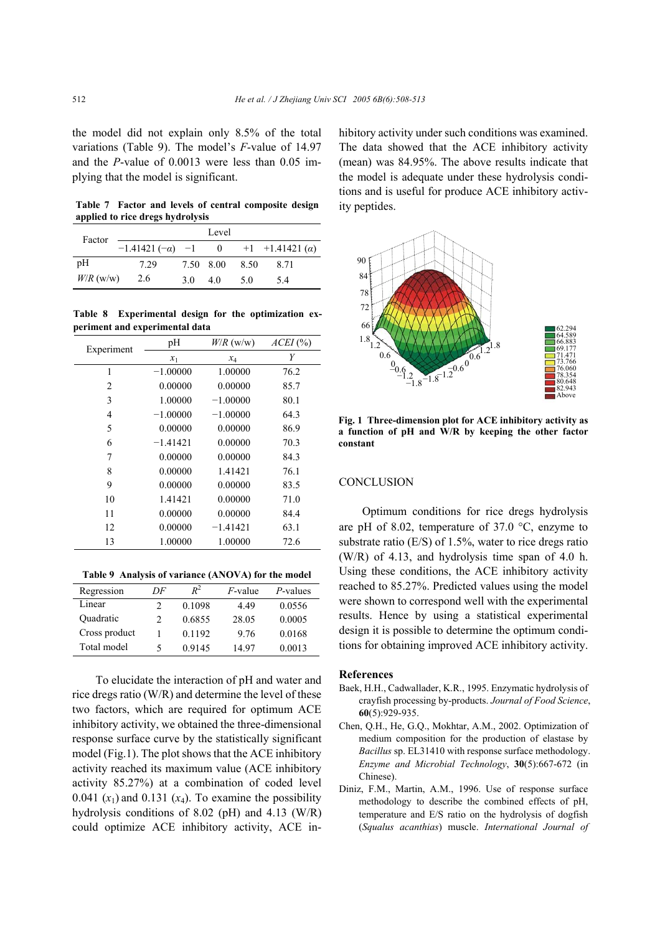the model did not explain only 8.5% of the total variations (Table 9). The model's *F*-value of 14.97 and the *P*-value of 0.0013 were less than 0.05 implying that the model is significant.

**Table 7 Factor and levels of central composite design applied to rice dregs hydrolysis** 

|             |                        |           | Level    |      |                            |
|-------------|------------------------|-----------|----------|------|----------------------------|
| Factor      | $-1.41421(-\alpha) -1$ |           | $\theta$ |      | $+1$ +1.41421 ( <i>a</i> ) |
| pH          | 729                    | 7.50 8.00 |          | 8.50 | 8.71                       |
| $W/R$ (w/w) | 2.6                    | 3 O       | 40       | -5.0 | 54                         |

**Table 8 Experimental design for the optimization experiment and experimental data** 

| Experiment | pH         | $W/R$ (w/w) | $ACEI$ (%) |
|------------|------------|-------------|------------|
|            | $x_1$      | $x_4$       | Y          |
| 1          | $-1.00000$ | 1.00000     | 76.2       |
| 2          | 0.00000    | 0.00000     | 85.7       |
| 3          | 1.00000    | $-1.00000$  | 80.1       |
| 4          | $-1.00000$ | $-1.00000$  | 64.3       |
| 5          | 0.00000    | 0.00000     | 86.9       |
| 6          | $-1.41421$ | 0.00000     | 70.3       |
| 7          | 0.00000    | 0.00000     | 84.3       |
| 8          | 0.00000    | 1.41421     | 76.1       |
| 9          | 0.00000    | 0.00000     | 83.5       |
| 10         | 1.41421    | 0.00000     | 71.0       |
| 11         | 0.00000    | 0.00000     | 84.4       |
| 12         | 0.00000    | $-1.41421$  | 63.1       |
| 13         | 1.00000    | 1.00000     | 72.6       |

**Table 9 Analysis of variance (ANOVA) for the model** 

| Regression    | DF | $R^2$  | $F$ -value | P-values |
|---------------|----|--------|------------|----------|
| Linear        |    | 0.1098 | 449        | 0.0556   |
| Ouadratic     | 2  | 0.6855 | 28.05      | 0.0005   |
| Cross product |    | 0.1192 | 9.76       | 0.0168   |
| Total model   | 5  | 0.9145 | 14 97      | 0.0013   |

To elucidate the interaction of pH and water and rice dregs ratio (W/R) and determine the level of these two factors, which are required for optimum ACE inhibitory activity, we obtained the three-dimensional response surface curve by the statistically significant model (Fig.1). The plot shows that the ACE inhibitory activity reached its maximum value (ACE inhibitory activity 85.27%) at a combination of coded level 0.041  $(x_1)$  and 0.131  $(x_4)$ . To examine the possibility hydrolysis conditions of 8.02 (pH) and 4.13 (W/R) could optimize ACE inhibitory activity, ACE inhibitory activity under such conditions was examined. The data showed that the ACE inhibitory activity (mean) was 84.95%. The above results indicate that the model is adequate under these hydrolysis conditions and is useful for produce ACE inhibitory activity peptides.



**Fig. 1 Three-dimension plot for ACE inhibitory activity as a function of pH and W/R by keeping the other factor constant** 

## **CONCLUSION**

Optimum conditions for rice dregs hydrolysis are pH of 8.02, temperature of 37.0 °C, enzyme to substrate ratio  $(E/S)$  of 1.5%, water to rice dregs ratio (W/R) of 4.13, and hydrolysis time span of 4.0 h. Using these conditions, the ACE inhibitory activity reached to 85.27%. Predicted values using the model were shown to correspond well with the experimental results. Hence by using a statistical experimental design it is possible to determine the optimum conditions for obtaining improved ACE inhibitory activity.

#### **References**

- Baek, H.H., Cadwallader, K.R., 1995. Enzymatic hydrolysis of crayfish processing by-products. *Journal of Food Science*, **60**(5):929-935.
- Chen, Q.H., He, G.Q., Mokhtar, A.M., 2002. Optimization of medium composition for the production of elastase by *Bacillus* sp. EL31410 with response surface methodology. *Enzyme and Microbial Technology*, **30**(5):667-672 (in Chinese).
- Diniz, F.M., Martin, A.M., 1996. Use of response surface methodology to describe the combined effects of pH, temperature and E/S ratio on the hydrolysis of dogfish (*Squalus acanthias*) muscle. *International Journal of*